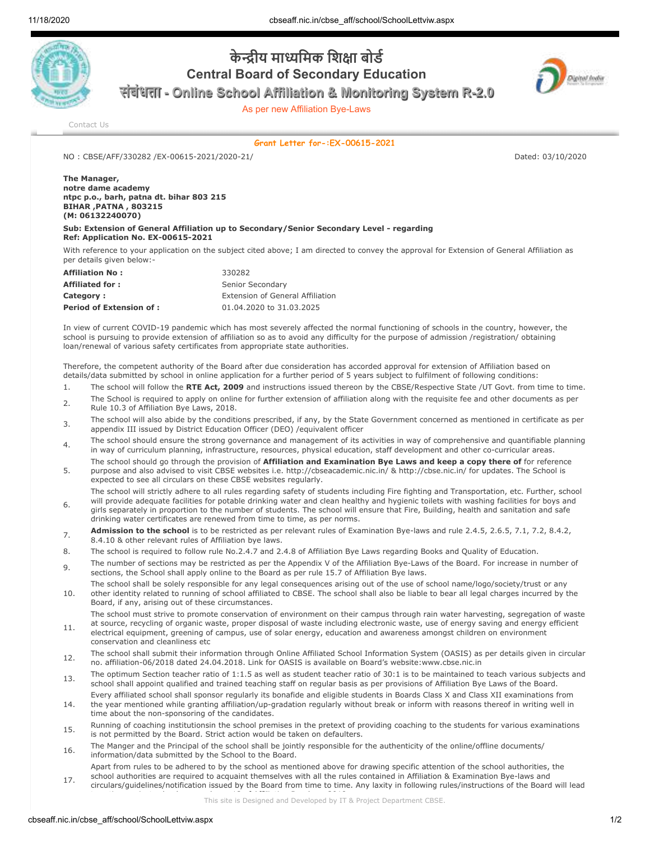

## **केीय मािमक िशा बोड Central Board of Secondary Education**

Digital India

**संबंधता - Online School Affiliation & Monitoring System R-2.0**

As per new Affiliation Bye-Laws

[Contact Us](http://cbseaff.nic.in/cbse_aff/help.aspx)

**Grant Letter for-:EX-00615-2021**

NO : CBSE/AFF/330282 /EX-00615-2021/2020-21/ Dated: 03/10/2020

## **The Manager, notre dame academy ntpc p.o., barh, patna dt. bihar 803 215 BIHAR ,PATNA , 803215 (M: 06132240070)**

**Sub: Extension of General Affiliation up to Secondary/Senior Secondary Level - regarding Ref: Application No. EX-00615-2021**

With reference to your application on the subject cited above; I am directed to convey the approval for Extension of General Affiliation as per details given below:-

| <b>Affiliation No:</b>          | 330282                           |
|---------------------------------|----------------------------------|
| <b>Affiliated for:</b>          | Senior Secondary                 |
| Category:                       | Extension of General Affiliation |
| <b>Period of Extension of :</b> | 01.04.2020 to 31.03.2025         |

In view of current COVID-19 pandemic which has most severely affected the normal functioning of schools in the country, however, the school is pursuing to provide extension of affiliation so as to avoid any difficulty for the purpose of admission /registration/ obtaining loan/renewal of various safety certificates from appropriate state authorities.

Therefore, the competent authority of the Board after due consideration has accorded approval for extension of Affiliation based on details/data submitted by school in online application for a further period of 5 years subject to fulfilment of following conditions:

- 1. The school will follow the **RTE Act, 2009** and instructions issued thereon by the CBSE/Respective State /UT Govt. from time to time.
- 2. The School is required to apply on online for further extension of affiliation along with the requisite fee and other documents as per Rule 10.3 of Affiliation Bye Laws, 2018.
- <sup>3</sup> The school will also abide by the conditions prescribed, if any, by the State Government concerned as mentioned in certificate as per appendix III issued by District Education Officer (DEO) /equivalent officer
- The school should ensure the strong governance and management of its activities in way of comprehensive and quantifiable planning in way of curriculum planning, infrastructure, resources, physical education, staff development and other co-curricular areas.
- 5. The school should go through the provision of **Affiliation and Examination Bye Laws and keep a copy there of** for reference purpose and also advised to visit CBSE websites i.e. http://cbseacademic.nic.in/ & http://cbse.nic.in/ for updates. The School is expected to see all circulars on these CBSE websites regularly.
- 6. The school will strictly adhere to all rules regarding safety of students including Fire fighting and Transportation, etc. Further, school will provide adequate facilities for potable drinking water and clean healthy and hygienic toilets with washing facilities for boys and girls separately in proportion to the number of students. The school will ensure that Fire, Building, health and sanitation and safe drinking water certificates are renewed from time to time, as per norms.
- **Admission to the school** is to be restricted as per relevant rules of Examination Bye-laws and rule 2.4.5, 2.6.5, 7.1, 7.2, 8.4.2, 8.4.10 & other relevant rules of Affiliation bye laws.
- 8. The school is required to follow rule No.2.4.7 and 2.4.8 of Affiliation Bye Laws regarding Books and Quality of Education.
- 9. The number of sections may be restricted as per the Appendix V of the Affiliation Bye-Laws of the Board. For increase in number of sections, the School shall apply online to the Board as per rule 15.7 of Affiliation Bye laws.
- 10. The school shall be solely responsible for any legal consequences arising out of the use of school name/logo/society/trust or any other identity related to running of school affiliated to CBSE. The school shall also be liable to bear all legal charges incurred by the Board, if any, arising out of these circumstances.
	- The school must strive to promote conservation of environment on their campus through rain water harvesting, segregation of waste
- 11. at source, recycling of organic waste, proper disposal of waste including electronic waste, use of energy saving and energy efficient electrical equipment, greening of campus, use of solar energy, education and awareness amongst children on environment conservation and cleanliness etc
- 12. The school shall submit their information through Online Affiliated School Information System (OASIS) as per details given in circular no. affiliation-06/2018 dated 24.04.2018. Link for OASIS is available on Board's website:www.cbse.nic.in
- 13. The optimum Section teacher ratio of 1:1.5 as well as student teacher ratio of 30:1 is to be maintained to teach various subjects and school shall appoint qualified and trained teaching staff on regular basis as per provisions of Affiliation Bye Laws of the Board.
- 14. Every affiliated school shall sponsor regularly its bonafide and eligible students in Boards Class X and Class XII examinations from the year mentioned while granting affiliation/up-gradation regularly without break or inform with reasons thereof in writing well in time about the non-sponsoring of the candidates.
- 15. Running of coaching institutionsin the school premises in the pretext of providing coaching to the students for various examinations is not permitted by the Board. Strict action would be taken on defaulters.
- 16. The Manger and the Principal of the school shall be jointly responsible for the authenticity of the online/offline documents/ information/data submitted by the School to the Board.
- 17. Apart from rules to be adhered to by the school as mentioned above for drawing specific attention of the school authorities, the school authorities are required to acquaint themselves with all the rules contained in Affiliation & Examination Bye-laws and circulars/guidelines/notification issued by the Board from time to time. Any laxity in following rules/instructions of the Board will lead